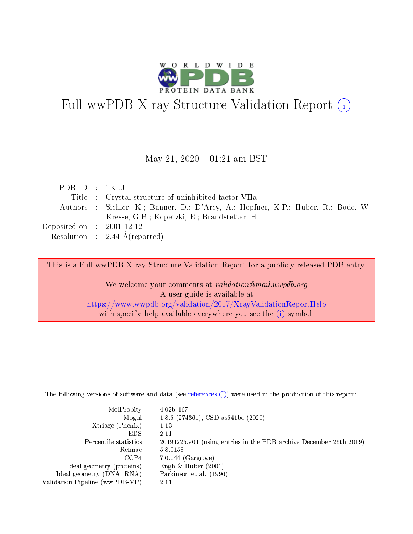

# Full wwPDB X-ray Structure Validation Report (i)

#### May 21,  $2020 - 01:21$  am BST

| PDBID : IKLJ                         |                                                                                    |
|--------------------------------------|------------------------------------------------------------------------------------|
|                                      | Title : Crystal structure of uninhibited factor VIIa                               |
|                                      | Authors : Sichler, K.; Banner, D.; D'Arcy, A.; Hopfner, K.P.; Huber, R.; Bode, W.; |
|                                      | Kresse, G.B.; Kopetzki, E.; Brandstetter, H.                                       |
| Deposited on $\therefore$ 2001-12-12 |                                                                                    |
|                                      | Resolution : 2.44 $\AA$ (reported)                                                 |

This is a Full wwPDB X-ray Structure Validation Report for a publicly released PDB entry.

We welcome your comments at validation@mail.wwpdb.org A user guide is available at <https://www.wwpdb.org/validation/2017/XrayValidationReportHelp> with specific help available everywhere you see the  $(i)$  symbol.

The following versions of software and data (see [references](https://www.wwpdb.org/validation/2017/XrayValidationReportHelp#references)  $(1)$ ) were used in the production of this report:

| $MolProbability$ : 4.02b-467                      |                              |                                                                                            |
|---------------------------------------------------|------------------------------|--------------------------------------------------------------------------------------------|
|                                                   |                              | Mogul : $1.8.5$ (274361), CSD as 541be (2020)                                              |
| Xtriage (Phenix) $: 1.13$                         |                              |                                                                                            |
| EDS –                                             | $\sim$                       | -2.11                                                                                      |
|                                                   |                              | Percentile statistics : 20191225.v01 (using entries in the PDB archive December 25th 2019) |
| Refmac : 5.8.0158                                 |                              |                                                                                            |
| CCP4                                              |                              | $7.0.044$ (Gargrove)                                                                       |
| Ideal geometry (proteins)                         | $\mathcal{L}_{\mathrm{eff}}$ | Engh & Huber $(2001)$                                                                      |
| Ideal geometry (DNA, RNA) Parkinson et al. (1996) |                              |                                                                                            |
| Validation Pipeline (wwPDB-VP) : 2.11             |                              |                                                                                            |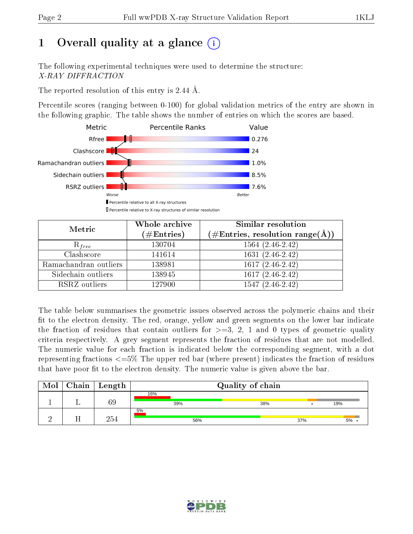# 1 [O](https://www.wwpdb.org/validation/2017/XrayValidationReportHelp#overall_quality)verall quality at a glance  $(i)$

The following experimental techniques were used to determine the structure: X-RAY DIFFRACTION

The reported resolution of this entry is 2.44 Å.

Percentile scores (ranging between 0-100) for global validation metrics of the entry are shown in the following graphic. The table shows the number of entries on which the scores are based.



| Metric                | Whole archive<br>$(\#\text{Entries})$ | Similar resolution<br>$(\#\text{Entries},\, \text{resolution}\; \text{range}(\textup{\AA}))$ |
|-----------------------|---------------------------------------|----------------------------------------------------------------------------------------------|
| $R_{free}$            | 130704                                | $1564(2.46-2.42)$                                                                            |
| Clashscore            | 141614                                | $1631(2.46-2.42)$                                                                            |
| Ramachandran outliers | 138981                                | $1617(2.46-2.42)$                                                                            |
| Sidechain outliers    | 138945                                | $1617(2.46-2.42)$                                                                            |
| RSRZ outliers         | 127900                                | $1547(2.46-2.42)$                                                                            |

The table below summarises the geometric issues observed across the polymeric chains and their fit to the electron density. The red, orange, yellow and green segments on the lower bar indicate the fraction of residues that contain outliers for  $>=3, 2, 1$  and 0 types of geometric quality criteria respectively. A grey segment represents the fraction of residues that are not modelled. The numeric value for each fraction is indicated below the corresponding segment, with a dot representing fractions <=5% The upper red bar (where present) indicates the fraction of residues that have poor fit to the electron density. The numeric value is given above the bar.

| Mol | Chain | $\mid$ Length |     | Quality of chain |     |     |
|-----|-------|---------------|-----|------------------|-----|-----|
|     |       |               | 16% |                  |     |     |
|     |       | 69            | 39% | 38%              |     | 19% |
|     |       |               | 5%  |                  |     |     |
|     |       | 254           | 56% |                  | 37% | 5%  |

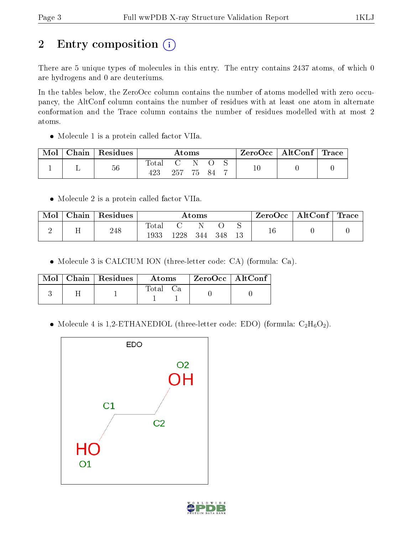# 2 Entry composition (i)

There are 5 unique types of molecules in this entry. The entry contains 2437 atoms, of which 0 are hydrogens and 0 are deuteriums.

In the tables below, the ZeroOcc column contains the number of atoms modelled with zero occupancy, the AltConf column contains the number of residues with at least one atom in alternate conformation and the Trace column contains the number of residues modelled with at most 2 atoms.

• Molecule 1 is a protein called factor VIIa.

| Mol |   | Chain   Residues | $\rm{Atoms}$ |        |  | ZeroOcc   AltConf   Trace |  |  |  |
|-----|---|------------------|--------------|--------|--|---------------------------|--|--|--|
|     | ⊥ | 56               | Total<br>423 | 257 75 |  | - 84                      |  |  |  |

• Molecule 2 is a protein called factor VIIa.

| Mol | Chain | Residues | $\rm\bf Atoms$ |      |     |      | ⊢ZeroOcc∣ | $\perp$ AltConf $\parallel$ | $\perp$ Trace |  |
|-----|-------|----------|----------------|------|-----|------|-----------|-----------------------------|---------------|--|
|     |       | 248      | Total<br>1933  | 1228 | 344 | -348 |           |                             |               |  |

Molecule 3 is CALCIUM ION (three-letter code: CA) (formula: Ca).

|  | $Mol$   Chain   Residues | Atoms | ZeroOcc   AltConf |  |
|--|--------------------------|-------|-------------------|--|
|  |                          | Total |                   |  |

• Molecule 4 is 1,2-ETHANEDIOL (three-letter code: EDO) (formula:  $C_2H_6O_2$ ).



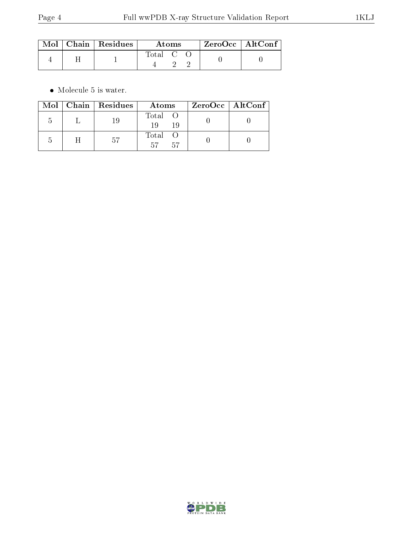|  | $\text{Mol}$   Chain   Residues | Atoms   |  |  | $ZeroOcc \mid AltConf \mid$ |  |
|--|---------------------------------|---------|--|--|-----------------------------|--|
|  |                                 | Total C |  |  |                             |  |

 $\bullet\,$  Molecule 5 is water.

|                | Mol   Chain   Residues | Atoms                  | ZeroOcc   AltConf |  |
|----------------|------------------------|------------------------|-------------------|--|
| $\overline{ }$ | -19                    | Total O<br>19<br>19    |                   |  |
|                | .57                    | Total O<br>- 57<br>-57 |                   |  |

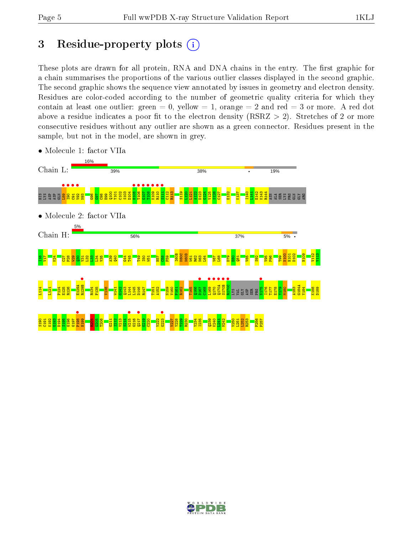# 3 Residue-property plots  $(i)$

These plots are drawn for all protein, RNA and DNA chains in the entry. The first graphic for a chain summarises the proportions of the various outlier classes displayed in the second graphic. The second graphic shows the sequence view annotated by issues in geometry and electron density. Residues are color-coded according to the number of geometric quality criteria for which they contain at least one outlier: green  $= 0$ , yellow  $= 1$ , orange  $= 2$  and red  $= 3$  or more. A red dot above a residue indicates a poor fit to the electron density (RSRZ  $> 2$ ). Stretches of 2 or more consecutive residues without any outlier are shown as a green connector. Residues present in the sample, but not in the model, are shown in grey.



• Molecule 1: factor VIIa

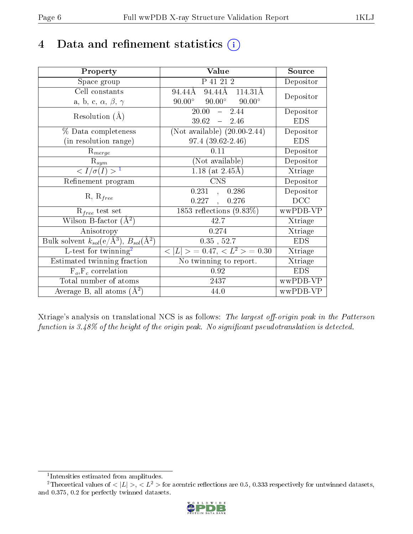# 4 Data and refinement statistics  $(i)$

| Property                                                                | Value                                            | Source     |
|-------------------------------------------------------------------------|--------------------------------------------------|------------|
| Space group                                                             | P 41 21 2                                        | Depositor  |
| Cell constants                                                          | 94.44Å<br>94.44Å<br>$114.31\text{\AA}$           | Depositor  |
| a, b, c, $\alpha$ , $\beta$ , $\gamma$                                  | $90.00^{\circ}$ $90.00^{\circ}$<br>$90.00^\circ$ |            |
| Resolution $(A)$                                                        | $-2.44$<br>20.00                                 | Depositor  |
|                                                                         | $39.62 - 2.46$                                   | <b>EDS</b> |
| % Data completeness                                                     | (Not available) $(20.00-2.44)$                   | Depositor  |
| (in resolution range)                                                   | $97.4(39.62-2.46)$                               | <b>EDS</b> |
| $R_{merge}$                                                             | 0.11                                             | Depositor  |
| $\mathrm{R}_{sym}$                                                      | (Not available)                                  | Depositor  |
| $\langle I/\sigma(I) \rangle^{-1}$                                      | 1.18 (at $2.45\text{\AA}$ )                      | Xtriage    |
| Refinement program                                                      | <b>CNS</b>                                       | Depositor  |
| $R, R_{free}$                                                           | 0.231,<br>0.286                                  | Depositor  |
|                                                                         | 0.227,<br>0.276                                  | DCC        |
| $R_{free}$ test set                                                     | $1853$ reflections $(9.83\%)$                    | wwPDB-VP   |
| Wilson B-factor $(A^2)$                                                 | 42.7                                             | Xtriage    |
| Anisotropy                                                              | 0.274                                            | Xtriage    |
| Bulk solvent $k_{sol}(\mathrm{e}/\mathrm{A}^3),\,B_{sol}(\mathrm{A}^2)$ | $0.35$ , $52.7$                                  | <b>EDS</b> |
| L-test for twinning <sup>2</sup>                                        | $< L >$ = 0.47, $< L2 >$ = 0.30                  | Xtriage    |
| Estimated twinning fraction                                             | No twinning to report.                           | Xtriage    |
| $F_o, F_c$ correlation                                                  | 0.92                                             | <b>EDS</b> |
| Total number of atoms                                                   | 2437                                             | wwPDB-VP   |
| Average B, all atoms $(A^2)$                                            | 44.0                                             | wwPDB-VP   |

Xtriage's analysis on translational NCS is as follows: The largest off-origin peak in the Patterson function is  $3.48\%$  of the height of the origin peak. No significant pseudotranslation is detected.

<sup>&</sup>lt;sup>2</sup>Theoretical values of  $\langle |L| \rangle$ ,  $\langle L^2 \rangle$  for acentric reflections are 0.5, 0.333 respectively for untwinned datasets, and 0.375, 0.2 for perfectly twinned datasets.



<span id="page-5-1"></span><span id="page-5-0"></span><sup>1</sup> Intensities estimated from amplitudes.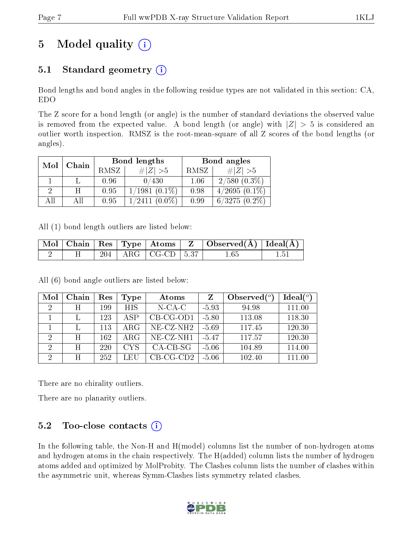# 5 Model quality  $(i)$

### 5.1 Standard geometry  $(i)$

Bond lengths and bond angles in the following residue types are not validated in this section: CA, EDO

The Z score for a bond length (or angle) is the number of standard deviations the observed value is removed from the expected value. A bond length (or angle) with  $|Z| > 5$  is considered an outlier worth inspection. RMSZ is the root-mean-square of all Z scores of the bond lengths (or angles).

| Mol | Chain |      | Bond lengths       | Bond angles |                   |  |
|-----|-------|------|--------------------|-------------|-------------------|--|
|     |       | RMSZ | $\# Z >5$          | RMSZ        | # $ Z  > 5$       |  |
|     |       | 0.96 | 0/430              | 1.06        | $2/580$ $(0.3\%)$ |  |
|     | н     | 0.95 | $1/1981(0.1\%)$    | 0.98        | $4/2695(0.1\%)$   |  |
| All | АH    | 0.95 | $1/2411$ $(0.0\%)$ | 0.99        | $6/3275(0.2\%)$   |  |

All (1) bond length outliers are listed below:

|  |  |                                      | $\mid$ Mol $\mid$ Chain $\mid$ Res $\mid$ Type $\mid$ Atoms $\mid$ Z $\mid$ Observed(A) $\mid$ Ideal(A) $\mid$ |  |
|--|--|--------------------------------------|----------------------------------------------------------------------------------------------------------------|--|
|  |  | $\frac{1}{204}$   ARG   CG-CD   5.37 | 1.65                                                                                                           |  |

All (6) bond angle outliers are listed below:

| Mol            | Chain | Res | Type       | Atoms        | Z       | Observed $\binom{o}{c}$ | Ideal(°) |
|----------------|-------|-----|------------|--------------|---------|-------------------------|----------|
| $\overline{2}$ | H     | 199 | <b>HIS</b> | $N$ -CA-C    | $-5.93$ | 94.98                   | 111.00   |
|                |       | 123 | ASP        | $CB-CG-OD1$  | $-5.80$ | 113.08                  | 118.30   |
|                |       | 113 | ARG        | $NE- CZ-NH2$ | $-5.69$ | 117.45                  | 120.30   |
| 2              | H     | 162 | ARG        | NE-CZ-NH1    | $-5.47$ | 117.57                  | 120.30   |
| $\overline{2}$ | H     | 220 | <b>CYS</b> | $CA-CB-SG$   | $-5.06$ | 104.89                  | 114.00   |
| $\overline{2}$ | H     | 252 | LEU        | $CB-CG-CD2$  | $-5.06$ | 102.40                  | 111.00   |

There are no chirality outliers.

There are no planarity outliers.

### $5.2$  Too-close contacts  $\overline{()}$

In the following table, the Non-H and H(model) columns list the number of non-hydrogen atoms and hydrogen atoms in the chain respectively. The H(added) column lists the number of hydrogen atoms added and optimized by MolProbity. The Clashes column lists the number of clashes within the asymmetric unit, whereas Symm-Clashes lists symmetry related clashes.

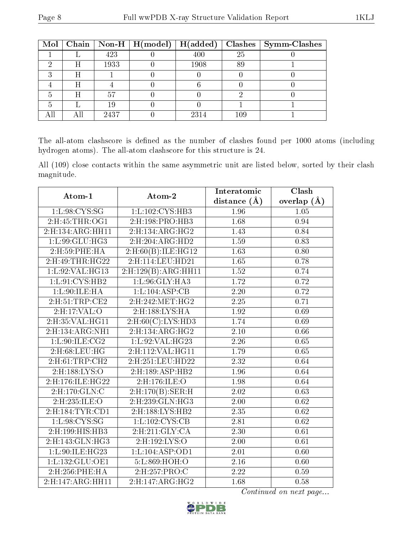|   |      | Mol   Chain   Non-H   H(model)   H(added) |      |     | $Clashes$   Symm-Clashes |
|---|------|-------------------------------------------|------|-----|--------------------------|
|   | 423  |                                           | 400  | 25  |                          |
| Η | 1933 |                                           | 1908 | 89  |                          |
| Η |      |                                           |      |     |                          |
| Η |      |                                           |      |     |                          |
| H | 57   |                                           |      |     |                          |
|   | 19   |                                           |      |     |                          |
|   | 2437 |                                           | 2314 | 109 |                          |

The all-atom clashscore is defined as the number of clashes found per 1000 atoms (including hydrogen atoms). The all-atom clashscore for this structure is 24.

All (109) close contacts within the same asymmetric unit are listed below, sorted by their clash magnitude.

| Atom-1               | Atom-2                     | Interatomic       | Clash         |  |
|----------------------|----------------------------|-------------------|---------------|--|
|                      |                            | distance $(A)$    | overlap $(A)$ |  |
| 1:L:98:CYS:SG        | 1: L: 102: CYS: HB3        | 1.96              | 1.05          |  |
| 2:H:45:THR:OG1       | 2:H:198:PRO:HB3            | 1.68              | 0.94          |  |
| 2: H: 134: ARG: HH11 | 2: H: 134: ARG: HG2        | 1.43              | 0.84          |  |
| 1: L:99: GLU: HG3    | 2: H:204: ARG:HD2          | 1.59              | 0.83          |  |
| 2:H:59:PHE:HA        | 2: H:60(B): ILE: HG12      | 1.63              | 0.80          |  |
| 2: H:49: THR: HG22   | 2:H:114:LEU:HD21           | 1.65              | 0.78          |  |
| 1:L:92:VAL:HG13      | 2: H: 129(B): ARG: HH11    | 1.52              | 0.74          |  |
| 1:L:91:CYS:HB2       | 1:L:96:GLY:HA3             | 1.72              | 0.72          |  |
| 1:L:90:ILE:HA        | 1: L: 104: ASP: CB         | 2.20              | 0.72          |  |
| 2: H:51: TRP:CE2     | 2: H: 242: MET: HG2        | 2.25              | 0.71          |  |
| 2:H:17:VAL:O         | $2:$ H:188:LYS:HA          | 1.92              | 0.69          |  |
| 2:H:35:VAL:HG11      | $2:$ H:60 $(C):$ LYS:HD3   | 1.74              | 0.69          |  |
| 2:H:134:ARG:NH1      | 2:H:134:ARG:HG2            | 2.10              | 0.66          |  |
| 1: L:90: ILE: CG2    | 1: L:92: VAL:HG23          | $\overline{2.26}$ | 0.65          |  |
| 2: H:68: LEU: HG     | 2:H:112:VAL:HG11           | 1.79              | 0.65          |  |
| 2: H:61:TRP:CH2      | 2:H:251:LEU:HD22           | $\overline{2.32}$ | 0.64          |  |
| $2:$ H:188:LYS:O     | 2: H: 189: ASP: HB2        | 1.96              | 0.64          |  |
| 2: H: 176: ILE: HG22 | 2:H:176:ILE:O              | 1.98              | 0.64          |  |
| 2: H: 170: GLN: C    | 2:H:170(B):SER:H           | 2.02              | 0.63          |  |
| 2:H:235:ILE:O        | $2:$ H $:239:$ GLN $:$ HG3 | 2.00              | 0.62          |  |
| 2: H: 184: TYR: CD1  | 2:H:188:LYS:HB2            | 2.35              | 0.62          |  |
| 1: L:98:CYS:SG       | 1:L:102:CYS:CB             | 2.81              | 0.62          |  |
| 2:H:199:HIS:HB3      | 2: H:211: GLY: CA          | 2.30              | 0.61          |  |
| 2:H:143:GLN:HG3      | 2:H:192:LYS:O              | 2.00              | 0.61          |  |
| 1: L:90: ILE: HG23   | 1: L: 104: ASP: OD1        | 2.01              | 0.60          |  |
| 1: L: 132: GLU: OE1  | 5:L:869:HOH:O              | 2.16              | 0.60          |  |
| 2:H:256:PHE:HA       | 2:H:257:PRO:C              | 2.22              | 0.59          |  |
| 2:H:147:ARG:HH11     | 2: H: 147: ARG: HG2        | 1.68              | 0.58          |  |

Continued on next page...

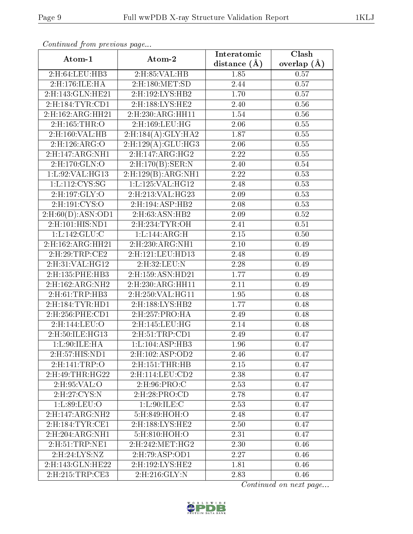| Atom-1              | Atom-2                                | Interatomic    | Clash           |
|---------------------|---------------------------------------|----------------|-----------------|
|                     |                                       | distance $(A)$ | overlap $(\AA)$ |
| 2:H:64:LEU:HB3      | $2:$ H $:85:$ VAL $:$ HB              | 1.85           | 0.57            |
| 2: H: 176: ILE: HA  | $2:$ H:180:MET:SD                     | 2.44           | 0.57            |
| 2:H:143:GLN:HE21    | 2:H:192:LYS:HB2                       | 1.70           | 0.57            |
| 2: H: 184: TYR: CD1 | 2:H:188:LYS:HE2                       | 2.40           | $0.56\,$        |
| 2:H:162:ARG:HH21    | 2: H:230: ARG: HH11                   | 1.54           | $0.56\,$        |
| 2: H: 165: THR: O   | 2:H:169:LEU:HG                        | $2.06\,$       | 0.55            |
| 2:H:160:VAL:HB      | 2:H:184(A):GLY:HA2                    | 1.87           | 0.55            |
| 2:H:126:ARG:O       | 2:H:129(A):GLU:HG3                    | $2.06\,$       | 0.55            |
| 2:H:147:ARG:NH1     | 2: H: 147: ARG: HG2                   | 2.22           | 0.55            |
| 2:H:170:GLN:O       | $2:$ H:170 $(B):$ SER:N               | 2.40           | 0.54            |
| 1:L:92:VAL:HG13     | 2: H: 129(B): ARG: NH1                | 2.22           | 0.53            |
| 1: L: 112: CYS: SG  | 1: L: 125: VAL: HG12                  | 2.48           | 0.53            |
| 2:H:197:GLY:O       | 2:H:213:VAL:HG23                      | 2.09           | 0.53            |
| $2:$ H:191:CYS:O    | 2:H:194:ASP:HB2                       | 2.08           | 0.53            |
| 2: H:60(D): ASN:OD1 | 2:H:63:ASN:HB2                        | 2.09           | 0.52            |
| 2:H:101:HIS:ND1     | 2:H:234:TYR:OH                        | 2.41           | 0.51            |
| 1: L: 142: GLU:C    | 1:L:144:ARG:H                         | 2.15           | 0.50            |
| 2:H:162:ARG:HH21    | 2:H:230:ARG:NH1                       | 2.10           | 0.49            |
| 2:H:29:TRP:CE2      | 2:H:121:LEU:HD13                      | 2.48           | 0.49            |
| 2:H:31:VAL:HG12     | 2:H:32:LEU:N                          | 2.28           | 0.49            |
| 2:H:135:PHE:HB3     | 2:H:159:ASN:HD21                      | 1.77           | 0.49            |
| 2:H:162:ARG:NH2     | 2:H:230:ARG:HH11                      | 2.11           | 0.49            |
| 2:H:61:TRP:HB3      | 2:H:250:VAL:HG11                      | 1.95           | 0.48            |
| 2: H: 184: TYR: HD1 | 2:H:188:LYS:HB2                       | 1.77           | 0.48            |
| $2:$ H:256:PHE:CD1  | $2:$ H:257:PRO:HA                     | 2.49           | 0.48            |
| 2:H:144:LEU:O       | $2:$ H $:145:$ LEU $:$ HG             | 2.14           | 0.48            |
| 2:H:50:ILE:HG13     | 2:H:51:TRP:CD1                        | 2.49           | 0.47            |
| 1: L:90: ILE: HA    | 1:L:104:ASP:HB3                       | 1.96           | 0.47            |
| 2:H:57:HIS:ND1      | 2:H:102:ASP:OD2                       | 2.46           | 0.47            |
| 2: H:141: TRP:O     | 2: H: 151: THR: HB                    | 2.15           | 0.47            |
| 2:H:49:THR:HG22     | 2: H: 114: LEU: CD2                   | 2.38           | 0.47            |
| 2:H:95:VAL:O        | 2:H:96:PRO:C                          | 2.53           | 0.47            |
| $2:$ H $:27:CYS:N$  | 2: H:28: PRO:CD                       | 2.78           | 0.47            |
| 1:L:89:LEU:O        | 1: L:90: ILE: C                       | 2.53           | 0.47            |
| 2:H:147:ARG:NH2     | $5:$ H $:849:$ H $OH:$ O              | 2.48           | 0.47            |
| 2: H: 184: TYR: CE1 | 2:H:188:LYS:HE2                       | 2.50           | 0.47            |
| 2: H:204: ARG: NH1  | 5:H:810:HOH:O                         | 2.31           | 0.47            |
| 2:H:51:TRP:NE1      | $2:H:242:\overline{\mathrm{MET:HG2}}$ | 2.30           | 0.46            |
| 2:H:24:LYS:NZ       | 2:H:79:ASP:OD1                        | 2.27           | 0.46            |
| 2:H:143:GLN:HE22    | 2:H:192:LYS:HE2                       | 1.81           | 0.46            |
| 2:H:215:TRP:CE3     | 2:H:216:GLY:N                         | 2.83           | 0.46            |

Continued from previous page...

Continued on next page...

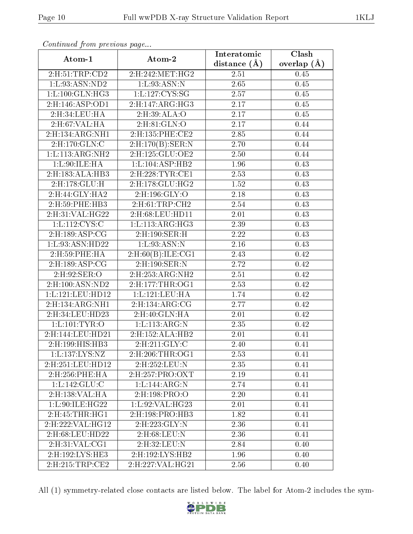| Atom-1                    | Atom-2                     | Interatomic    | Clash           |  |
|---------------------------|----------------------------|----------------|-----------------|--|
|                           |                            | distance $(A)$ | overlap $(\AA)$ |  |
| $2:$ H:51:TRP:CD2         | 2: H: 242: MET: HG2        | 2.51           | 0.45            |  |
| 1: L: 93: ASN: ND2        | 1: L: 93: ASN: N           | 2.65           | 0.45            |  |
| 1: L: 100: GLN: HG3       | 1:L:127:CYS:SG             | 2.57           | 0.45            |  |
| 2:H:146:ASP:OD1           | 2: H: 147: ARG: HG3        | 2.17           | 0.45            |  |
| 2:H:34:LEU:HA             | 2:H:39:ALA:O               | 2.17           | 0.45            |  |
| 2: H:67: VAL: HA          | 2:H:81:GLN:O               | 2.17           | 0.44            |  |
| 2:H:134:ARG:NH1           | 2:H:135:PHE:CE2            | 2.85           | 0.44            |  |
| 2:H:170:GLN:C             | $2:$ H:170 $(B):$ SER:N    | 2.70           | 0.44            |  |
| 1:L:113:ARG:NH2           | 2: H: 125: GLU: OE2        | 2.50           | 0.44            |  |
| 1:L:90:ILE:HA             | 1: L: 104: ASP: HB2        | 1.96           | 0.43            |  |
| 2: H: 183: ALA: HB3       | 2: H:228: TYR: CE1         | 2.53           | 0.43            |  |
| 2:H:178:GLU:H             | 2: H: 178: GLU: HG2        | 1.52           | 0.43            |  |
| 2:H:44:GLY:HA2            | 2:H:196:GLY:O              | 2.18           | 0.43            |  |
| 2:H:59:PHE:HB3            | 2: H:61:TRP:CH2            | 2.54           | 0.43            |  |
| 2: H:31: VAL: HG22        | 2: H:68: LEU: HD11         | 2.01           | 0.43            |  |
| 1:L:112:CYS:C             | 1: L: 113: ARG: HG3        | 2.39           | 0.43            |  |
| $2:$ H:189:ASP:CG         | 2:H:190:SER:H              | 2.22           | 0.43            |  |
| 1:L:93:ASN:HD22           | 1:L:93:ASN:N               | 2.16           | 0.43            |  |
| 2:H:59:PHE:HA             | $2:$ H:60 $(B):$ ILE:CG1   | 2.43           | 0.42            |  |
| 2:H:189:ASP:CG            | 2:H:190:SER:N              | 2.72           | 0.42            |  |
| $2:$ H:92:SER:O           | $2:$ H $:253:$ ARG:NH $2$  | 2.51           | 0.42            |  |
| 2:H:100:ASN:ND2           | 2:H:177:THR:OG1            | 2.53           | 0.42            |  |
| 1:L:121:LEU:HD12          | 1:L:121:LEU:HA             | 1.74           | 0.42            |  |
| 2:H:134:ARG:NH1           | 2: H: 134: ARG: CG         | 2.77           | 0.42            |  |
| $2:$ H $:34:$ LEU:HD $23$ | 2:H:40:GLN:HA              | 2.01           | 0.42            |  |
| 1: L: 101: TYR: O         | 1: L: 113: ARG: N          | 2.35           | 0.42            |  |
| 2:H:144:LEU:HD21          | 2:H:152:ALA:HB2            | 2.01           | 0.41            |  |
| 2:H:199:HIS:HB3           | 2:H:211:GLY:C              | 2.40           | 0.41            |  |
| 1: L: 137: LYS: NZ        | $2:$ H $:206:$ THR $:$ OG1 | 2.53           | 0.41            |  |
| 2:H:251:LEU:HD12          | 2:H:252:LEU:N              | 2.35           | 0.41            |  |
| 2:H:256:PHE:HA            | 2: H: 257: PRO: OXT        | 2.19           | 0.41            |  |
| 1: L: 142: GLU: C         | 1: L: 144: ARG: N          | 2.74           | 0.41            |  |
| 2:H:138:VAL:HA            | $2:$ H:198:PRO:O           | 2.20           | 0.41            |  |
| 1: L:90: ILE: HG22        | 1: L:92: VAL:HG23          | 2.01           | 0.41            |  |
| 2:H:45:THR:HG1            | 2:H:198:PRO:HB3            | 1.82           | 0.41            |  |
| 2: H: 222: VAL: HG12      | 2:H:223:GLY:N              | 2.36           | 0.41            |  |
| 2:H:68:LEU:HD22           | 2:H:68:LEU:N               | 2.36           | 0.41            |  |
| 2: H:31: VAL: CG1         | 2:H:32:LEU:N               | 2.84           | 0.40            |  |
| 2:H:192:LYS:HE3           | 2:H:192:LYS:HB2            | 1.96           | 0.40            |  |
| 2:H:215:TRP:CE2           | 2:H:227:VAL:HG21           | 2.56           | 0.40            |  |

Continued from previous page...

All (1) symmetry-related close contacts are listed below. The label for Atom-2 includes the sym-

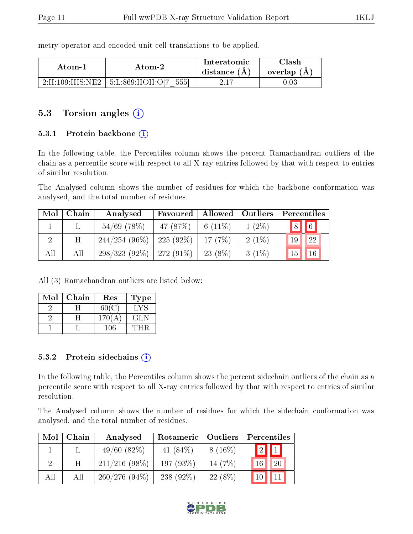| Atom-1 |        | Interatomic    | `lash_        |  |
|--------|--------|----------------|---------------|--|
|        | Atom-2 | distance $(A)$ | overlap $(A)$ |  |

 $2:H:109:HIS:NE2 \mid 5:L:869:HOH:O[7 \quad 555] \mid 2.17 \mid 0.03$ 

metry operator and encoded unit-cell translations to be applied.

### 5.3 Torsion angles  $(i)$

#### 5.3.1 Protein backbone  $(i)$

In the following table, the Percentiles column shows the percent Ramachandran outliers of the chain as a percentile score with respect to all X-ray entries followed by that with respect to entries of similar resolution.

The Analysed column shows the number of residues for which the backbone conformation was analysed, and the total number of residues.

| Mol | Chain | Analysed                      | $\mid$ Allowed $\mid$ Outliers<br>Favoured |            |          | Percentiles               |  |
|-----|-------|-------------------------------|--------------------------------------------|------------|----------|---------------------------|--|
|     |       | $54/69$ (78%)                 | 47 (87%)                                   | 6 $(11\%)$ | $1(2\%)$ | $\boxed{6}$<br> 8         |  |
|     | Η     | $244/254$ (96\%)   225 (92\%) |                                            | 17(7%)     | $2(1\%)$ | 22<br>19                  |  |
| All | All   | $298/323$ (92\%)   272 (91\%) |                                            | $23(8\%)$  | $3(1\%)$ | <sup>15</sup><br>$\pm 16$ |  |

All (3) Ramachandran outliers are listed below:

| Mol | Chain | $\operatorname{Res}% \left( \mathcal{N}\right) \equiv\operatorname{Res}(\mathcal{N}_{0})\cap\mathcal{N}_{1}$ | Type       |
|-----|-------|--------------------------------------------------------------------------------------------------------------|------------|
|     |       | 60(C)                                                                                                        | LYS        |
|     |       | 170(A)                                                                                                       | <b>GLN</b> |
|     |       | 106                                                                                                          |            |

#### 5.3.2 Protein sidechains  $(i)$

In the following table, the Percentiles column shows the percent sidechain outliers of the chain as a percentile score with respect to all X-ray entries followed by that with respect to entries of similar resolution.

The Analysed column shows the number of residues for which the sidechain conformation was analysed, and the total number of residues.

| Mol | Chain | Analysed         | Rotameric<br>  Outliers |           | Percentiles     |  |  |
|-----|-------|------------------|-------------------------|-----------|-----------------|--|--|
|     |       | 49/60(82%)       | 41 $(84\%)$             | $8(16\%)$ | $2 \mathbf{1} $ |  |  |
|     | Η     | $211/216$ (98\%) | 197 $(93\%)$            | 14 $(7%)$ | 20<br>16        |  |  |
| All | Αll   | $260/276(94\%)$  | 238 $(92\%)$            | $22(8\%)$ |                 |  |  |

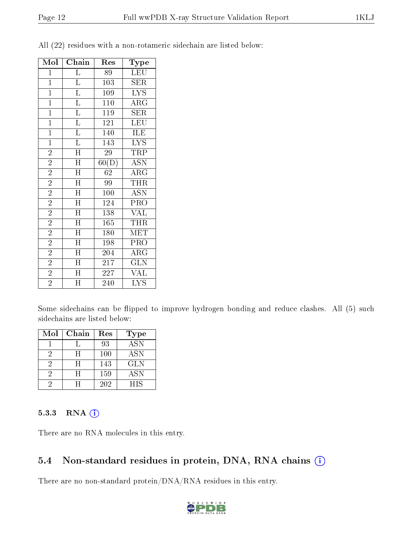| Mol            | Chain                     | Res                | Type                      |
|----------------|---------------------------|--------------------|---------------------------|
| $\mathbf 1$    | $\overline{\mathrm{L}}$   | 89                 | <b>LEU</b>                |
| $\mathbf{1}$   | $\overline{\mathrm{L}}$   | 103                | SER                       |
| $\overline{1}$ | $\overline{\mathrm{L}}$   | $\overline{109}$   | $\overline{\text{LYS}}$   |
| $\mathbf{1}$   | $\overline{\mathrm{L}}$   | 110                | $\rm{ARG}$                |
| $\mathbf{1}$   | $\overline{\mathrm{L}}$   | 119                | $\overline{\text{SER}}$   |
| $\mathbf{1}$   | $\overline{\mathrm{L}}$   | 121                | LEU                       |
| $\overline{1}$ | $\overline{\mathrm{L}}$   | 140                | ILE                       |
| $\mathbf{1}$   | $\overline{\mathrm{L}}$   | 143                | $\overline{\text{LYS}}$   |
| $\overline{2}$ | $\overline{\mathrm{H}}$   | 29                 | TRP                       |
| $\overline{2}$ | $\overline{\rm H}$        | $\overline{60(D)}$ | $\overline{\mathrm{ASN}}$ |
| $\overline{2}$ | $\overline{\rm H}$        | 62                 | $\rm{ARG}$                |
| $\overline{2}$ | $\mathbf H$               | 99                 | <b>THR</b>                |
| $\overline{2}$ | $\overline{\rm H}$        | 100                | $\overline{\mathrm{ASN}}$ |
| $\overline{2}$ | H                         | 124                | PRO                       |
| $\overline{2}$ | $\overline{\rm H}$        | 138                | $\overline{\text{VAL}}$   |
| $\overline{2}$ | H                         | 165                | <b>THR</b>                |
| $\overline{2}$ | H                         | 180                | MET                       |
| $\overline{2}$ | $\overline{\mathrm{H}}$   | 198                | PRO                       |
| $\overline{2}$ | $\overline{\text{H}}$     | 204                | $\rm{ARG}$                |
| $\overline{2}$ | $\boldsymbol{\mathrm{H}}$ | 217                | GLN                       |
| $\overline{2}$ | $\overline{H}$            | 227                | <b>VAL</b>                |
| $\overline{2}$ | $\overline{\rm H}$        | 240                | LYS                       |

All (22) residues with a non-rotameric sidechain are listed below:

Some sidechains can be flipped to improve hydrogen bonding and reduce clashes. All (5) such sidechains are listed below:

| Mol | Chain | Res | <b>Type</b> |
|-----|-------|-----|-------------|
|     |       | 93  | <b>ASN</b>  |
| 2   | H     | 100 | ASN         |
| 2   | H     | 143 | <b>GLN</b>  |
| 2   | H     | 159 | <b>ASN</b>  |
| ٠,  |       | 202 | <b>HIS</b>  |

#### 5.3.3 RNA [O](https://www.wwpdb.org/validation/2017/XrayValidationReportHelp#rna)i

There are no RNA molecules in this entry.

### 5.4 Non-standard residues in protein, DNA, RNA chains (i)

There are no non-standard protein/DNA/RNA residues in this entry.

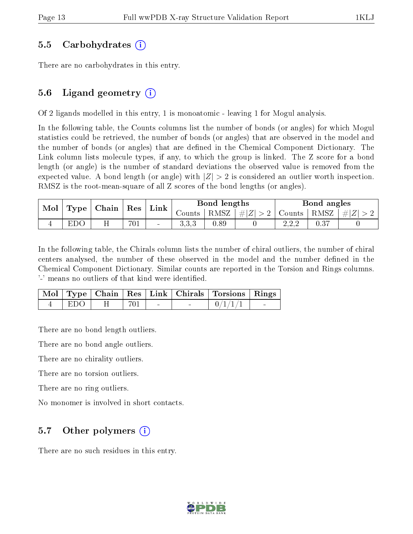#### 5.5 Carbohydrates (i)

There are no carbohydrates in this entry.

### 5.6 Ligand geometry  $(i)$

Of 2 ligands modelled in this entry, 1 is monoatomic - leaving 1 for Mogul analysis.

In the following table, the Counts columns list the number of bonds (or angles) for which Mogul statistics could be retrieved, the number of bonds (or angles) that are observed in the model and the number of bonds (or angles) that are defined in the Chemical Component Dictionary. The Link column lists molecule types, if any, to which the group is linked. The Z score for a bond length (or angle) is the number of standard deviations the observed value is removed from the expected value. A bond length (or angle) with  $|Z| > 2$  is considered an outlier worth inspection. RMSZ is the root-mean-square of all Z scores of the bond lengths (or angles).

| $\bf{Mol}$ |     | $\mid$ Type $\mid$ Chain $\mid$ Res $\mid$ |     |                          |        | $\perp$ Link $\perp$ |                                                        | Bond lengths |  |  | Bond angles |  |
|------------|-----|--------------------------------------------|-----|--------------------------|--------|----------------------|--------------------------------------------------------|--------------|--|--|-------------|--|
|            |     |                                            |     |                          | Counts |                      | RMSZ $\mid \#  Z  > 2$   Counts   RMSZ $\mid \#  Z  >$ |              |  |  |             |  |
|            | EDO |                                            | 701 | $\overline{\phantom{a}}$ | 0,0,0  | 0.89                 |                                                        | 2.2.2        |  |  |             |  |

In the following table, the Chirals column lists the number of chiral outliers, the number of chiral centers analysed, the number of these observed in the model and the number defined in the Chemical Component Dictionary. Similar counts are reported in the Torsion and Rings columns. '-' means no outliers of that kind were identified.

|     |     |                          | Mol   Type   Chain   Res   Link   Chirals   Torsions   Rings |  |
|-----|-----|--------------------------|--------------------------------------------------------------|--|
| FDO | 701 | <b>Contract Contract</b> | 0/1/1/1                                                      |  |

There are no bond length outliers.

There are no bond angle outliers.

There are no chirality outliers.

There are no torsion outliers.

There are no ring outliers.

No monomer is involved in short contacts.

### 5.7 [O](https://www.wwpdb.org/validation/2017/XrayValidationReportHelp#nonstandard_residues_and_ligands)ther polymers  $(i)$

There are no such residues in this entry.

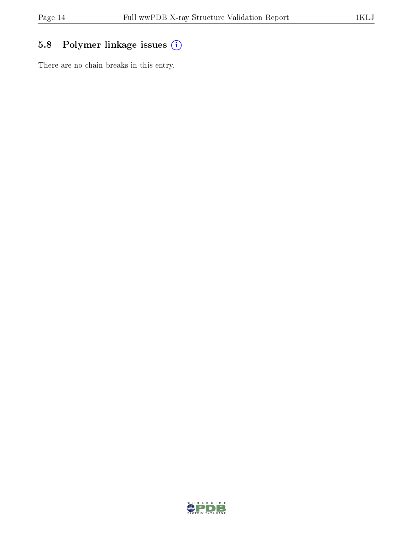## 5.8 Polymer linkage issues (i)

There are no chain breaks in this entry.

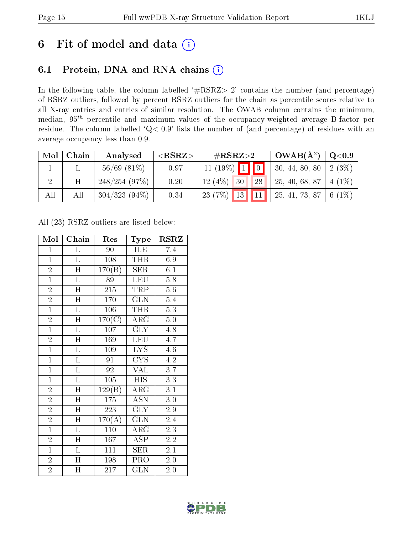# 6 Fit of model and data  $(i)$

### 6.1 Protein, DNA and RNA chains  $(i)$

In the following table, the column labelled  $#RSRZ> 2'$  contains the number (and percentage) of RSRZ outliers, followed by percent RSRZ outliers for the chain as percentile scores relative to all X-ray entries and entries of similar resolution. The OWAB column contains the minimum, median,  $95<sup>th</sup>$  percentile and maximum values of the occupancy-weighted average B-factor per residue. The column labelled ' $Q< 0.9$ ' lists the number of (and percentage) of residues with an average occupancy less than 0.9.

| Mol | Chain | Analysed         | ${ <\hspace{-1.5pt}{\mathrm{RSRZ}} \hspace{-1.5pt}>}$ | # $RSRZ>2$                   | $\text{OWAB}(\AA^2)   \text{Q}<0.9$ |          |
|-----|-------|------------------|-------------------------------------------------------|------------------------------|-------------------------------------|----------|
|     |       | $56/69$ $(81\%)$ | 0.97                                                  | $11 (19\%)$ 1 0              | 30, 44, 80, 80                      | 2(3%)    |
|     | H     | 248/254(97%)     | 0.20                                                  | 12(4%)<br><b>28</b><br>30    | 25, 40, 68, 87                      | $4(1\%)$ |
| All | All   | $304/323(94\%)$  | 0.34                                                  | 23 (7%) 13 11 25, 41, 73, 87 |                                     | 6 $(1%)$ |

All (23) RSRZ outliers are listed below:

| Mol            | Chain                   | Res                            | Type                      | <b>RSRZ</b>      |  |
|----------------|-------------------------|--------------------------------|---------------------------|------------------|--|
| $\mathbf{1}$   | Г                       | 90                             | ILE                       | 7.4              |  |
| $\mathbf{1}$   | $\overline{\mathbf{L}}$ | 108                            | <b>THR</b>                | 6.9              |  |
| $\overline{2}$ | $\overline{\rm H}$      | 170(B)                         | $\overline{\text{SER}}$   | 6.1              |  |
| $\overline{1}$ | $\overline{\mathrm{L}}$ | 89                             | <b>LEU</b>                | 5.8              |  |
| $\overline{2}$ | $\overline{\rm H}$      | $\overline{215}$               | <b>TRP</b>                | $\overline{5.6}$ |  |
| $\overline{2}$ | $\overline{\text{H}}$   | 170                            | $\overline{\text{GLN}}$   | $5.\overline{4}$ |  |
| $\overline{1}$ | $\overline{\mathrm{L}}$ | 106                            | <b>THR</b>                | 5.3              |  |
| $\overline{2}$ | $\overline{\text{H}}$   | $\overline{170}(\overline{C})$ | $\overline{\rm{ARG}}$     | $5.0\,$          |  |
| $\overline{1}$ | $\overline{\mathrm{L}}$ | 107                            | $\overline{\text{GLY}}$   | 4.8              |  |
| $\overline{2}$ | $\overline{\rm H}$      | 169                            | <b>LEU</b>                | $4.\overline{7}$ |  |
| $\overline{1}$ | $\overline{\mathrm{L}}$ | 109                            | <b>LYS</b>                | 4.6              |  |
| $\overline{1}$ | $\overline{\mathbf{L}}$ | 91                             | CYS                       | 4.2              |  |
| $\overline{1}$ | Г                       | 92                             | VAL                       | 3.7              |  |
| $\mathbf{1}$   | $\overline{\mathrm{L}}$ | 105                            | <b>HIS</b>                | $\overline{3.3}$ |  |
| $\overline{2}$ | $\overline{\rm H}$      | 129(B)                         | $\overline{\rm{ARG}}$     | $\overline{3.1}$ |  |
| $\overline{2}$ | H                       | 175                            | <b>ASN</b>                | 3.0              |  |
| $\overline{2}$ | $\overline{\rm H}$      | 223                            | $\overline{\text{GLY}}$   | $\overline{2.9}$ |  |
| $\overline{2}$ | H                       | 170(A)                         | <b>GLN</b>                | 2.4              |  |
| $\overline{1}$ | $\overline{\mathrm{L}}$ | 110                            | $\rm{ARG}$                | 2.3              |  |
| $\overline{2}$ | $\overline{\text{H}}$   | 167                            | $\overline{\text{ASP}}$   | $\overline{2.2}$ |  |
| $\overline{1}$ | $\overline{\mathrm{L}}$ | 111                            | <b>SER</b>                | 2.1              |  |
| $\overline{2}$ | $\overline{\rm H}$      | 198                            | $\overline{\mathrm{PRO}}$ | 2.0              |  |
| $\overline{2}$ | $\overline{\mathrm{H}}$ | 217                            | GLN                       | 2.0              |  |